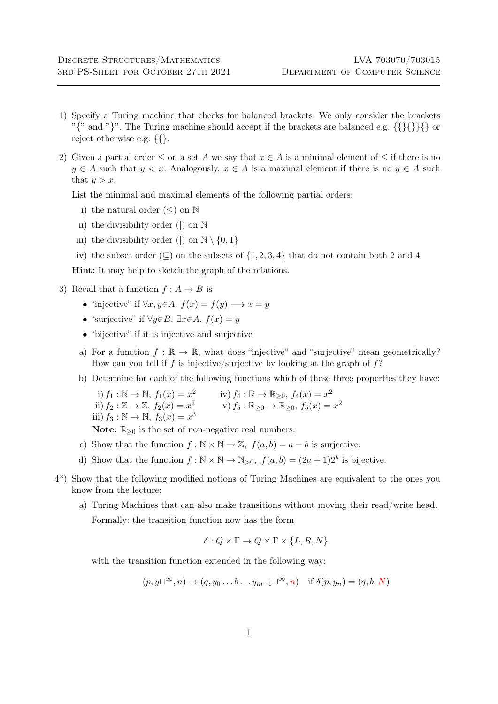- 1) Specify a Turing machine that checks for balanced brackets. We only consider the brackets " $\{$ " and " $\}$ ". The Turing machine should accept if the brackets are balanced e.g.  $\{\{\}\}\$  or reject otherwise e.g. {{}.
- 2) Given a partial order  $\leq$  on a set A we say that  $x \in A$  is a minimal element of  $\leq$  if there is no  $y \in A$  such that  $y < x$ . Analogously,  $x \in A$  is a maximal element if there is no  $y \in A$  such that  $y > x$ .

List the minimal and maximal elements of the following partial orders:

- i) the natural order  $(\le)$  on  $\mathbb N$
- ii) the divisibility order (|) on N
- iii) the divisibility order (|) on  $\mathbb{N} \setminus \{0, 1\}$
- iv) the subset order ( $\subseteq$ ) on the subsets of  $\{1, 2, 3, 4\}$  that do not contain both 2 and 4

Hint: It may help to sketch the graph of the relations.

- 3) Recall that a function  $f : A \rightarrow B$  is
	- "injective" if  $\forall x, y \in A$ .  $f(x) = f(y) \longrightarrow x = y$
	- "surjective" if  $\forall y \in B$ .  $\exists x \in A$ .  $f(x) = y$
	- "bijective" if it is injective and surjective
	- a) For a function  $f : \mathbb{R} \to \mathbb{R}$ , what does "injective" and "surjective" mean geometrically? How can you tell if f is injective/surjective by looking at the graph of  $f$ ?
	- b) Determine for each of the following functions which of these three properties they have:

i) 
$$
f_1 : \mathbb{N} \to \mathbb{N}
$$
,  $f_1(x) = x^2$   
\nii)  $f_2 : \mathbb{Z} \to \mathbb{Z}$ ,  $f_2(x) = x^2$   
\niii)  $f_3 : \mathbb{N} \to \mathbb{N}$ ,  $f_3(x) = x^3$   
\niv)  $f_4 : \mathbb{R} \to \mathbb{R}_{\geq 0}$ ,  $f_4(x) = x^2$   
\nv)  $f_5 : \mathbb{R}_{\geq 0} \to \mathbb{R}_{\geq 0}$ ,  $f_5(x) = x^2$ 

Note:  $\mathbb{R}_{\geq 0}$  is the set of non-negative real numbers.

- c) Show that the function  $f : \mathbb{N} \times \mathbb{N} \to \mathbb{Z}$ ,  $f(a, b) = a b$  is surjective.
- d) Show that the function  $f : \mathbb{N} \times \mathbb{N} \to \mathbb{N}_{>0}$ ,  $f(a, b) = (2a + 1)2^b$  is bijective.
- 4\*) Show that the following modified notions of Turing Machines are equivalent to the ones you know from the lecture:
	- a) Turing Machines that can also make transitions without moving their read/write head. Formally: the transition function now has the form

$$
\delta: Q \times \Gamma \to Q \times \Gamma \times \{L, R, N\}
$$

with the transition function extended in the following way:

$$
(p, y \sqcup^{\infty}, n) \rightarrow (q, y_0 \dots b \dots y_{m-1} \sqcup^{\infty}, n)
$$
 if  $\delta(p, y_n) = (q, b, N)$